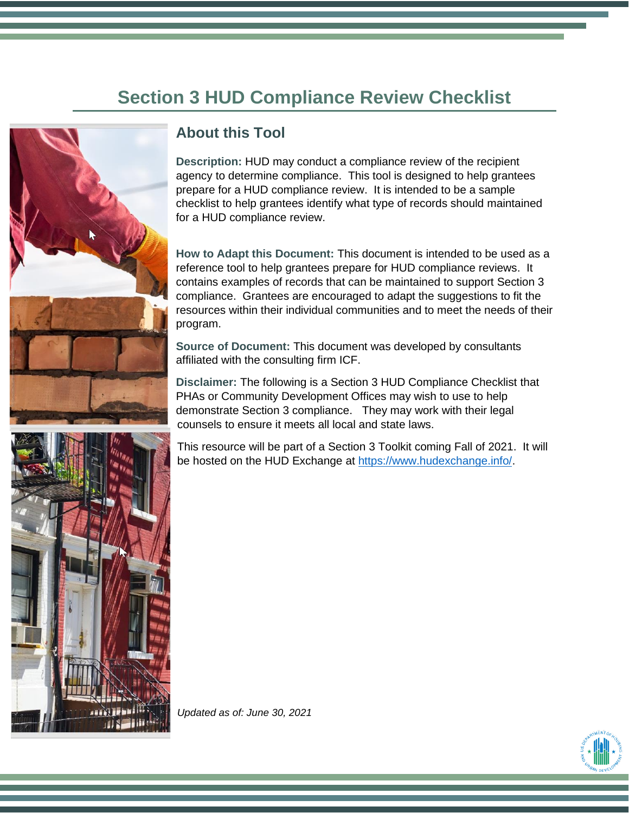# **Section 3 HUD Compliance Review Checklist**



# **About this Tool**

**Description:** HUD may conduct a compliance review of the recipient agency to determine compliance. This tool is designed to help grantees prepare for a HUD compliance review. It is intended to be a sample checklist to help grantees identify what type of records should maintained for a HUD compliance review.

**How to Adapt this Document:** This document is intended to be used as a reference tool to help grantees prepare for HUD compliance reviews. It contains examples of records that can be maintained to support Section 3 compliance. Grantees are encouraged to adapt the suggestions to fit the resources within their individual communities and to meet the needs of their program.

**Source of Document:** This document was developed by consultants affiliated with the consulting firm ICF.

**Disclaimer:** The following is a Section 3 HUD Compliance Checklist that PHAs or Community Development Offices may wish to use to help demonstrate Section 3 compliance. They may work with their legal counsels to ensure it meets all local and state laws.

This resource will be part of a Section 3 Toolkit coming Fall of 2021. It will be hosted on the HUD Exchange at [https://www.hudexchange.info/.](https://www.hudexchange.info/)



*Updated as of: June 30, 2021*

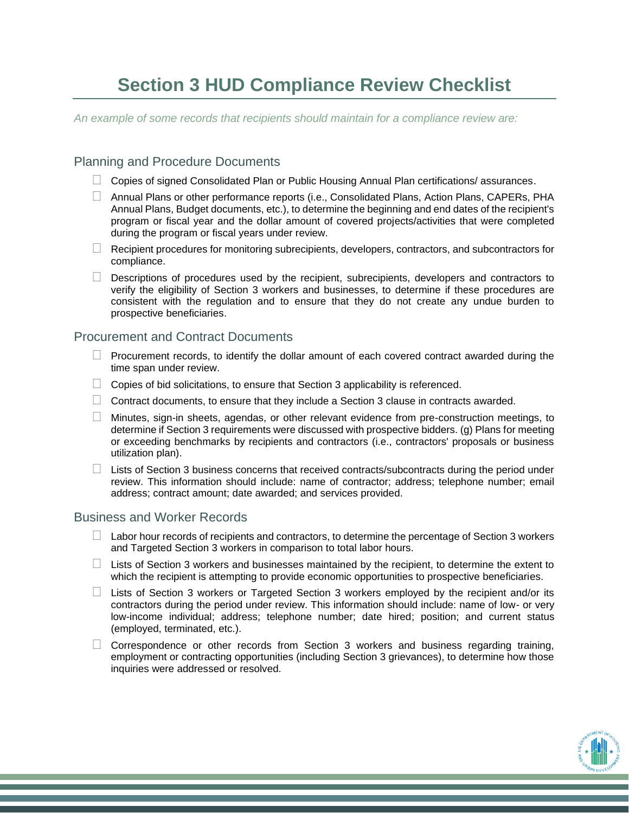# **Section 3 HUD Compliance Review Checklist**

*An example of some records that recipients should maintain for a compliance review are:* 

## Planning and Procedure Documents

- $\Box$  Copies of signed Consolidated Plan or Public Housing Annual Plan certifications/ assurances.
- $\Box$  Annual Plans or other performance reports (i.e., Consolidated Plans, Action Plans, CAPERs, PHA Annual Plans, Budget documents, etc.), to determine the beginning and end dates of the recipient's program or fiscal year and the dollar amount of covered projects/activities that were completed during the program or fiscal years under review.
- $\Box$  Recipient procedures for monitoring subrecipients, developers, contractors, and subcontractors for compliance.
- $\Box$  Descriptions of procedures used by the recipient, subrecipients, developers and contractors to verify the eligibility of Section 3 workers and businesses, to determine if these procedures are consistent with the regulation and to ensure that they do not create any undue burden to prospective beneficiaries.

#### Procurement and Contract Documents

- $\Box$  Procurement records, to identify the dollar amount of each covered contract awarded during the time span under review.
- $\Box$  Copies of bid solicitations, to ensure that Section 3 applicability is referenced.
- $\Box$  Contract documents, to ensure that they include a Section 3 clause in contracts awarded.
- $\Box$  Minutes, sign-in sheets, agendas, or other relevant evidence from pre-construction meetings, to determine if Section 3 requirements were discussed with prospective bidders. (g) Plans for meeting or exceeding benchmarks by recipients and contractors (i.e., contractors' proposals or business utilization plan).
- $\Box$  Lists of Section 3 business concerns that received contracts/subcontracts during the period under review. This information should include: name of contractor; address; telephone number; email address; contract amount; date awarded; and services provided.

## Business and Worker Records

- $\Box$  Labor hour records of recipients and contractors, to determine the percentage of Section 3 workers and Targeted Section 3 workers in comparison to total labor hours.
- $\Box$  Lists of Section 3 workers and businesses maintained by the recipient, to determine the extent to which the recipient is attempting to provide economic opportunities to prospective beneficiaries.
- $\Box$  Lists of Section 3 workers or Targeted Section 3 workers employed by the recipient and/or its contractors during the period under review. This information should include: name of low- or very low-income individual; address; telephone number; date hired; position; and current status (employed, terminated, etc.).
- $\Box$  Correspondence or other records from Section 3 workers and business regarding training, employment or contracting opportunities (including Section 3 grievances), to determine how those inquiries were addressed or resolved.